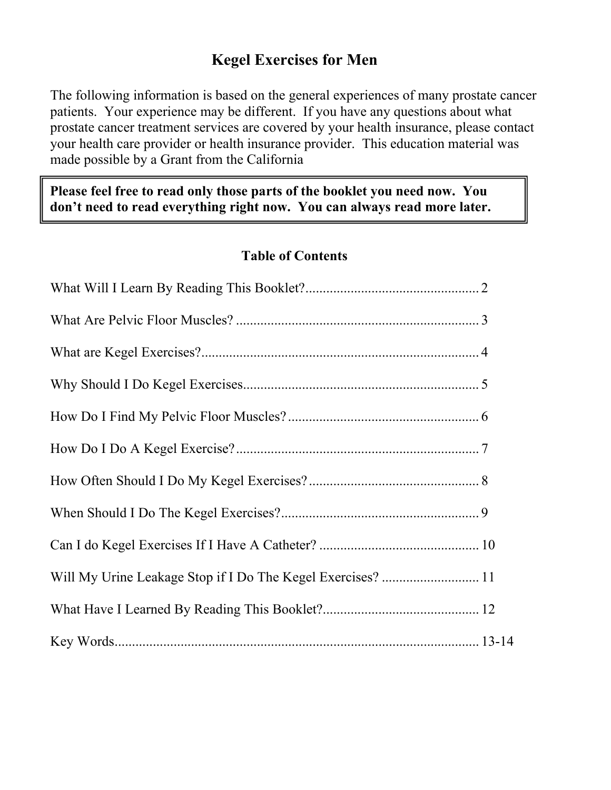## **Kegel Exercises for Men**

The following information is based on the general experiences of many prostate cancer patients. Your experience may be different. If you have any questions about what prostate cancer treatment services are covered by your health insurance, please contact your health care provider or health insurance provider. This education material was made possible by a Grant from the California

Please feel free to read only those parts of the booklet you need now. You don't need to read everything right now. You can always read more later.

#### **Table of Contents**

| Will My Urine Leakage Stop if I Do The Kegel Exercises?  11 |  |
|-------------------------------------------------------------|--|
|                                                             |  |
|                                                             |  |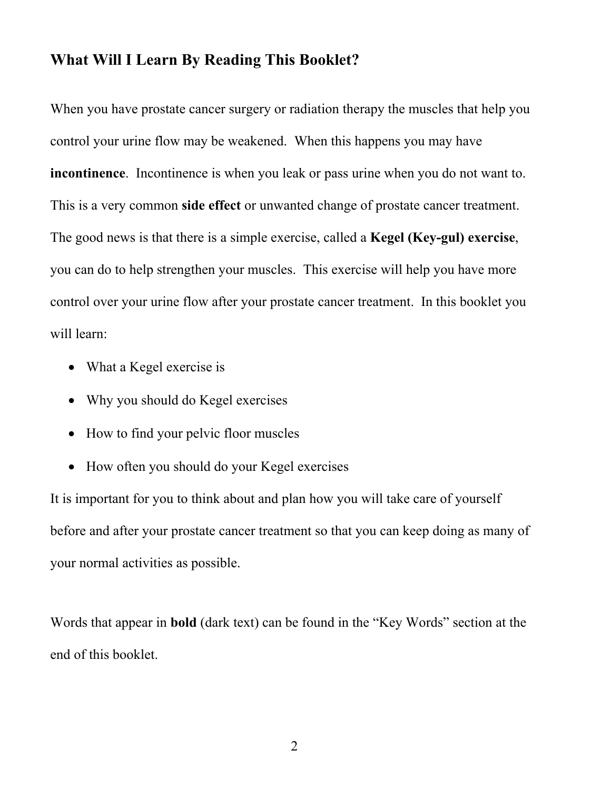#### **What Will I Learn By Reading This Booklet?**

When you have prostate cancer surgery or radiation therapy the muscles that help you control your urine flow may be weakened. When this happens you may have **incontinence**. Incontinence is when you leak or pass urine when you do not want to. This is a very common **side effect** or unwanted change of prostate cancer treatment. The good news is that there is a simple exercise, called a **Kegel (Key-gul) exercise**, you can do to help strengthen your muscles. This exercise will help you have more control over your urine flow after your prostate cancer treatment. In this booklet you will learn:

- What a Kegel exercise is
- Why you should do Kegel exercises
- How to find your pelvic floor muscles
- How often you should do your Kegel exercises

It is important for you to think about and plan how you will take care of yourself before and after your prostate cancer treatment so that you can keep doing as many of your normal activities as possible.

Words that appear in **bold** (dark text) can be found in the "Key Words" section at the end of this booklet.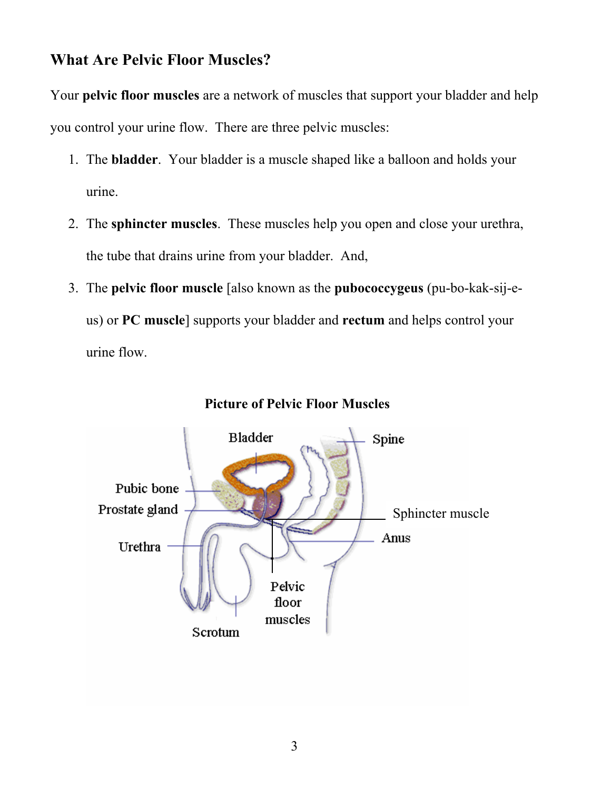### **What Are Pelvic Floor Muscles?**

Your **pelvic floor muscles** are a network of muscles that support your bladder and help you control your urine flow. There are three pelvic muscles:

- 1. The **bladder**. Your bladder is a muscle shaped like a balloon and holds your urine.
- 2. The **sphincter muscles**. These muscles help you open and close your urethra, the tube that drains urine from your bladder. And,
- 3. The **pelvic floor muscle** [also known as the **pubococcygeus** (pu-bo-kak-sij-eus) or **PC muscle**] supports your bladder and **rectum** and helps control your urine flow.



#### **Picture of Pelvic Floor Muscles**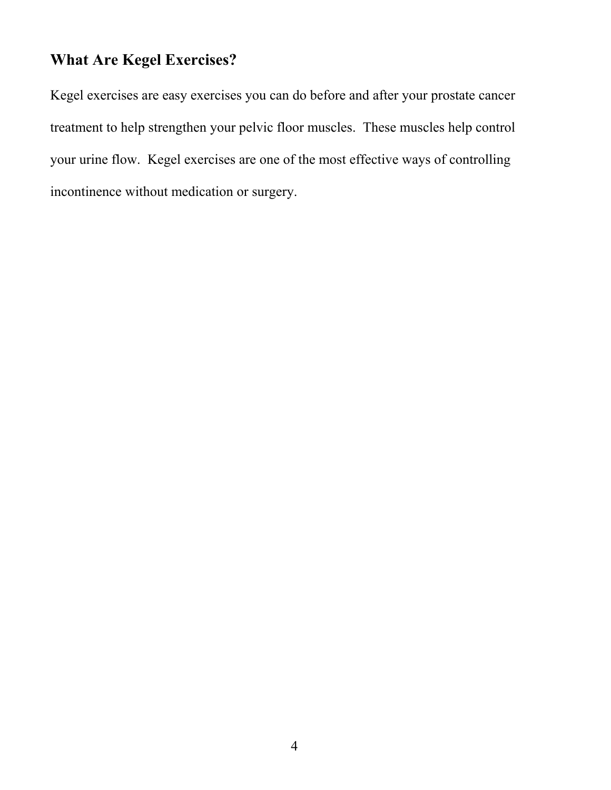# **What Are Kegel Exercises?**

Kegel exercises are easy exercises you can do before and after your prostate cancer treatment to help strengthen your pelvic floor muscles. These muscles help control your urine flow. Kegel exercises are one of the most effective ways of controlling incontinence without medication or surgery.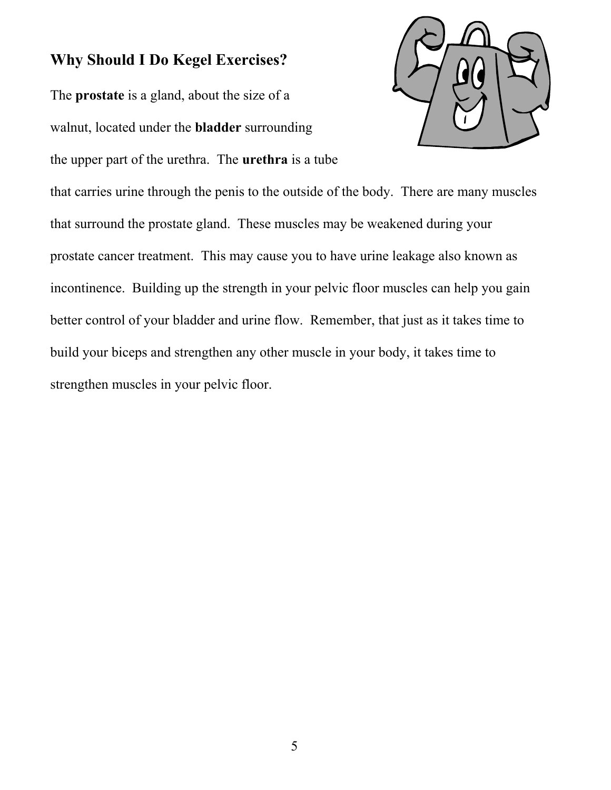### **Why Should I Do Kegel Exercises?**

The **prostate** is a gland, about the size of a walnut, located under the **bladder** surrounding the upper part of the urethra. The **urethra** is a tube



that carries urine through the penis to the outside of the body. There are many muscles that surround the prostate gland. These muscles may be weakened during your prostate cancer treatment. This may cause you to have urine leakage also known as incontinence. Building up the strength in your pelvic floor muscles can help you gain better control of your bladder and urine flow. Remember, that just as it takes time to build your biceps and strengthen any other muscle in your body, it takes time to strengthen muscles in your pelvic floor.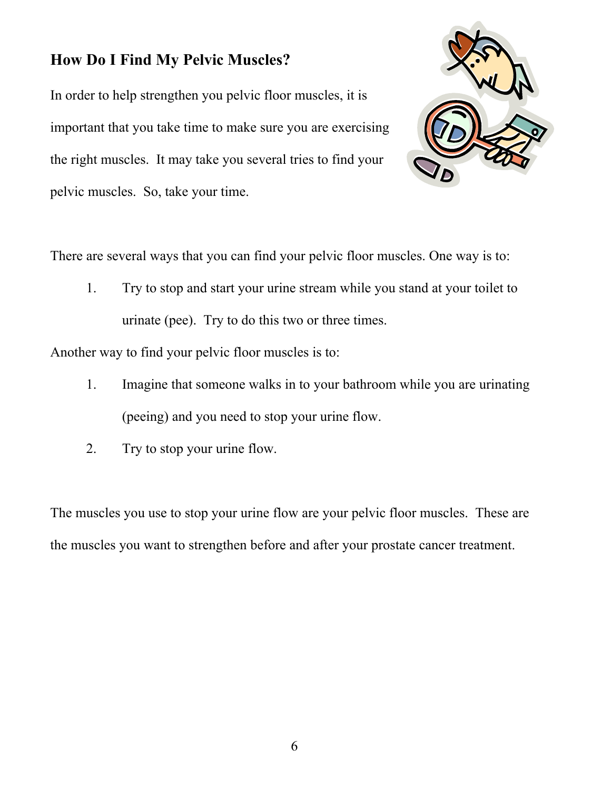# **How Do I Find My Pelvic Muscles?**

In order to help strengthen you pelvic floor muscles, it is important that you take time to make sure you are exercising the right muscles. It may take you several tries to find your pelvic muscles. So, take your time.



There are several ways that you can find your pelvic floor muscles. One way is to:

1. Try to stop and start your urine stream while you stand at your toilet to urinate (pee). Try to do this two or three times.

Another way to find your pelvic floor muscles is to:

- 1. Imagine that someone walks in to your bathroom while you are urinating (peeing) and you need to stop your urine flow.
- 2. Try to stop your urine flow.

The muscles you use to stop your urine flow are your pelvic floor muscles. These are the muscles you want to strengthen before and after your prostate cancer treatment.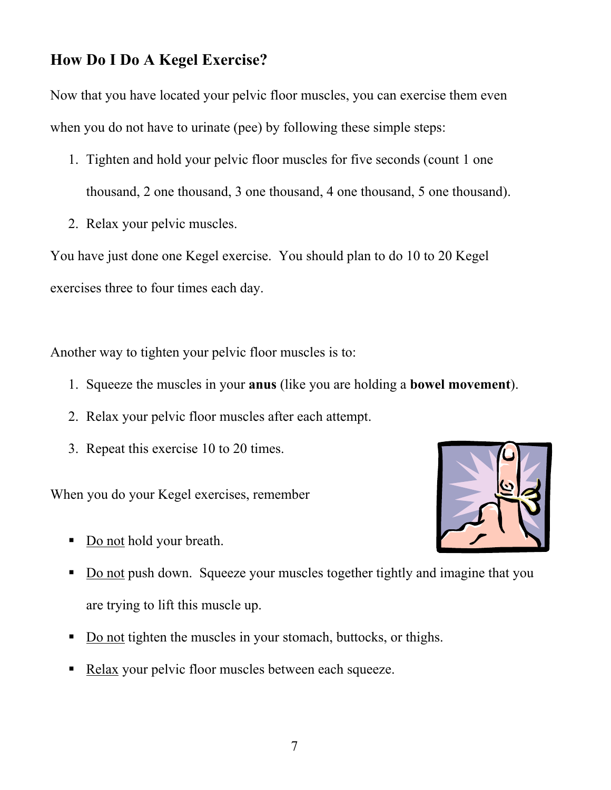# **How Do I Do A Kegel Exercise?**

Now that you have located your pelvic floor muscles, you can exercise them even when you do not have to urinate (pee) by following these simple steps:

- 1. Tighten and hold your pelvic floor muscles for five seconds (count 1 one thousand, 2 one thousand, 3 one thousand, 4 one thousand, 5 one thousand).
- 2. Relax your pelvic muscles.

You have just done one Kegel exercise. You should plan to do 10 to 20 Kegel exercises three to four times each day.

Another way to tighten your pelvic floor muscles is to:

- 1. Squeeze the muscles in your **anus** (like you are holding a **bowel movement**).
- 2. Relax your pelvic floor muscles after each attempt.
- 3. Repeat this exercise 10 to 20 times.

When you do your Kegel exercises, remember

Do not hold your breath.



- Do not push down. Squeeze your muscles together tightly and imagine that you are trying to lift this muscle up.
- Do not tighten the muscles in your stomach, buttocks, or thighs.
- Relax your pelvic floor muscles between each squeeze.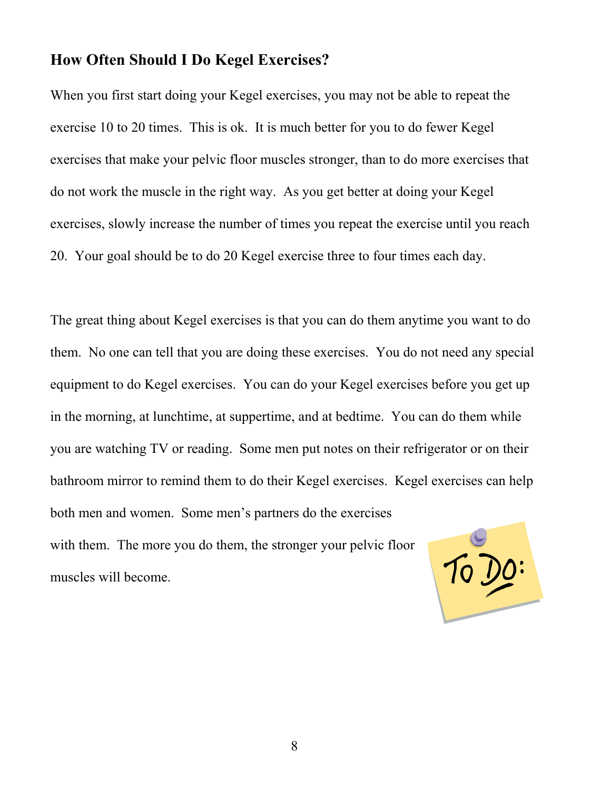#### **How Often Should I Do Kegel Exercises?**

When you first start doing your Kegel exercises, you may not be able to repeat the exercise 10 to 20 times. This is ok. It is much better for you to do fewer Kegel exercises that make your pelvic floor muscles stronger, than to do more exercises that do not work the muscle in the right way. As you get better at doing your Kegel exercises, slowly increase the number of times you repeat the exercise until you reach 20. Your goal should be to do 20 Kegel exercise three to four times each day.

The great thing about Kegel exercises is that you can do them anytime you want to do them. No one can tell that you are doing these exercises. You do not need any special equipment to do Kegel exercises. You can do your Kegel exercises before you get up in the morning, at lunchtime, at suppertime, and at bedtime. You can do them while you are watching TV or reading. Some men put notes on their refrigerator or on their bathroom mirror to remind them to do their Kegel exercises. Kegel exercises can help both men and women. Some men's partners do the exercises with them. The more you do them, the stronger your pelvic floor To Do: muscles will become.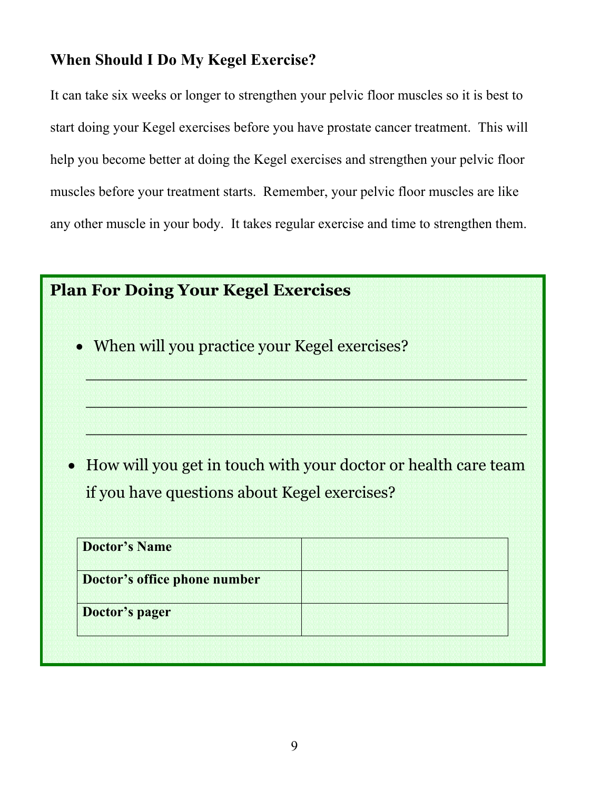# **When Should I Do My Kegel Exercise?**

It can take six weeks or longer to strengthen your pelvic floor muscles so it is best to start doing your Kegel exercises before you have prostate cancer treatment. This will help you become better at doing the Kegel exercises and strengthen your pelvic floor muscles before your treatment starts. Remember, your pelvic floor muscles are like any other muscle in your body. It takes regular exercise and time to strengthen them.

| <b>Plan For Doing Your Kegel Exercises</b>                       |  |
|------------------------------------------------------------------|--|
| • When will you practice your Kegel exercises?                   |  |
|                                                                  |  |
| • How will you get in touch with your doctor or health care team |  |
| if you have questions about Kegel exercises?                     |  |
| <b>Doctor's Name</b>                                             |  |
| Doctor's office phone number                                     |  |
| Doctor's pager                                                   |  |
|                                                                  |  |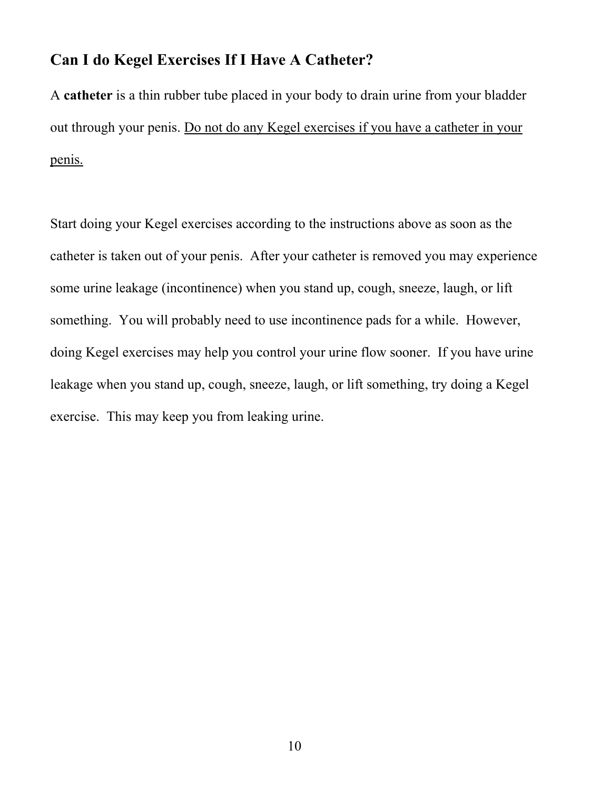#### **Can I do Kegel Exercises If I Have A Catheter?**

A **catheter** is a thin rubber tube placed in your body to drain urine from your bladder out through your penis. Do not do any Kegel exercises if you have a catheter in your penis.

Start doing your Kegel exercises according to the instructions above as soon as the catheter is taken out of your penis. After your catheter is removed you may experience some urine leakage (incontinence) when you stand up, cough, sneeze, laugh, or lift something. You will probably need to use incontinence pads for a while. However, doing Kegel exercises may help you control your urine flow sooner. If you have urine leakage when you stand up, cough, sneeze, laugh, or lift something, try doing a Kegel exercise. This may keep you from leaking urine.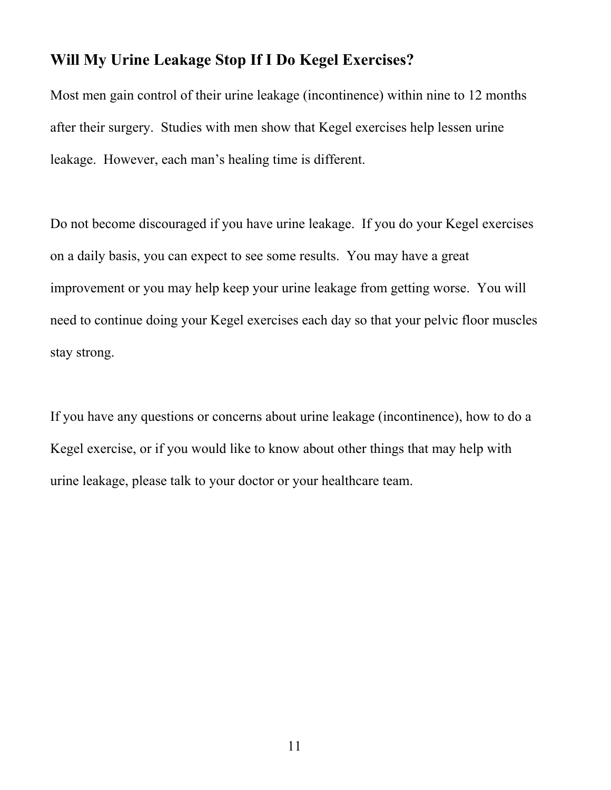#### **Will My Urine Leakage Stop If I Do Kegel Exercises?**

Most men gain control of their urine leakage (incontinence) within nine to 12 months after their surgery. Studies with men show that Kegel exercises help lessen urine leakage. However, each man's healing time is different.

Do not become discouraged if you have urine leakage. If you do your Kegel exercises on a daily basis, you can expect to see some results. You may have a great improvement or you may help keep your urine leakage from getting worse. You will need to continue doing your Kegel exercises each day so that your pelvic floor muscles stay strong.

If you have any questions or concerns about urine leakage (incontinence), how to do a Kegel exercise, or if you would like to know about other things that may help with urine leakage, please talk to your doctor or your healthcare team.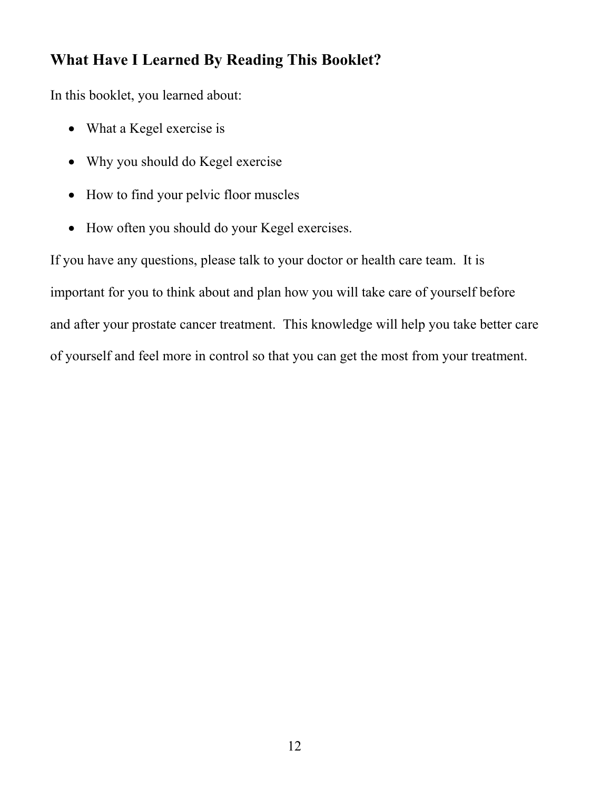## **What Have I Learned By Reading This Booklet?**

In this booklet, you learned about:

- What a Kegel exercise is
- Why you should do Kegel exercise
- How to find your pelvic floor muscles
- How often you should do your Kegel exercises.

If you have any questions, please talk to your doctor or health care team. It is important for you to think about and plan how you will take care of yourself before and after your prostate cancer treatment. This knowledge will help you take better care of yourself and feel more in control so that you can get the most from your treatment.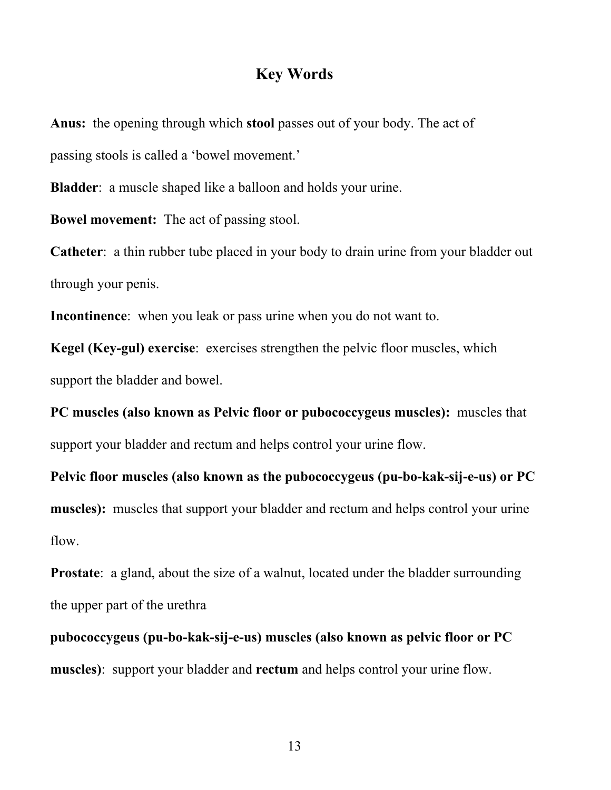### **Key Words**

**Anus:** the opening through which **stool** passes out of your body. The act of passing stools is called a 'bowel movement.'

**Bladder**: a muscle shaped like a balloon and holds your urine.

**Bowel movement:** The act of passing stool.

**Catheter**: a thin rubber tube placed in your body to drain urine from your bladder out through your penis.

**Incontinence**: when you leak or pass urine when you do not want to.

**Kegel (Key-gul) exercise**: exercises strengthen the pelvic floor muscles, which support the bladder and bowel.

**PC muscles (also known as Pelvic floor or pubococcygeus muscles):** muscles that support your bladder and rectum and helps control your urine flow.

**Pelvic floor muscles (also known as the pubococcygeus (pu-bo-kak-sij-e-us) or PC muscles):** muscles that support your bladder and rectum and helps control your urine flow.

**Prostate**: a gland, about the size of a walnut, located under the bladder surrounding the upper part of the urethra

**pubococcygeus (pu-bo-kak-sij-e-us) muscles (also known as pelvic floor or PC muscles)**: support your bladder and **rectum** and helps control your urine flow.

13